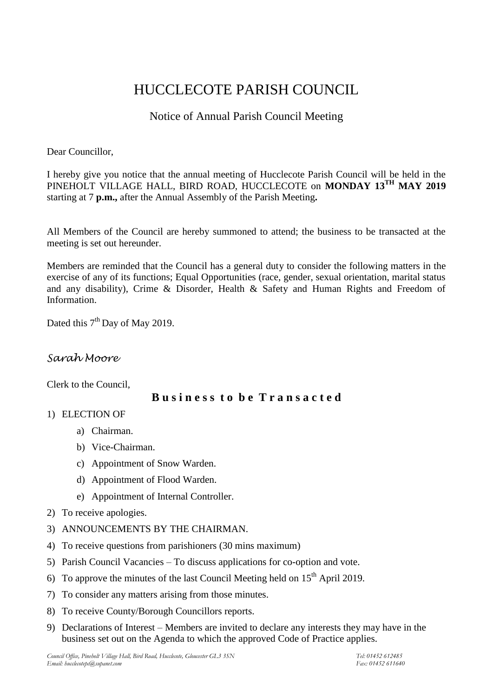# HUCCLECOTE PARISH COUNCIL

## Notice of Annual Parish Council Meeting

Dear Councillor,

I hereby give you notice that the annual meeting of Hucclecote Parish Council will be held in the PINEHOLT VILLAGE HALL, BIRD ROAD, HUCCLECOTE on **MONDAY 13 TH MAY 2019** starting at 7 **p.m.,** after the Annual Assembly of the Parish Meeting**.**

All Members of the Council are hereby summoned to attend; the business to be transacted at the meeting is set out hereunder.

Members are reminded that the Council has a general duty to consider the following matters in the exercise of any of its functions; Equal Opportunities (race, gender, sexual orientation, marital status and any disability), Crime & Disorder, Health & Safety and Human Rights and Freedom of Information.

Dated this 7<sup>th</sup> Day of May 2019.

## *Sarah Moore*

Clerk to the Council,

### **B u s i n e s s t o b e T r a n s a c t e d**

- 1) ELECTION OF
	- a) Chairman.
	- b) Vice-Chairman.
	- c) Appointment of Snow Warden.
	- d) Appointment of Flood Warden.
	- e) Appointment of Internal Controller.
- 2) To receive apologies.
- 3) ANNOUNCEMENTS BY THE CHAIRMAN.
- 4) To receive questions from parishioners (30 mins maximum)
- 5) Parish Council Vacancies To discuss applications for co-option and vote.
- 6) To approve the minutes of the last Council Meeting held on  $15<sup>th</sup>$  April 2019.
- 7) To consider any matters arising from those minutes.
- 8) To receive County/Borough Councillors reports.
- 9) Declarations of Interest Members are invited to declare any interests they may have in the business set out on the Agenda to which the approved Code of Practice applies.